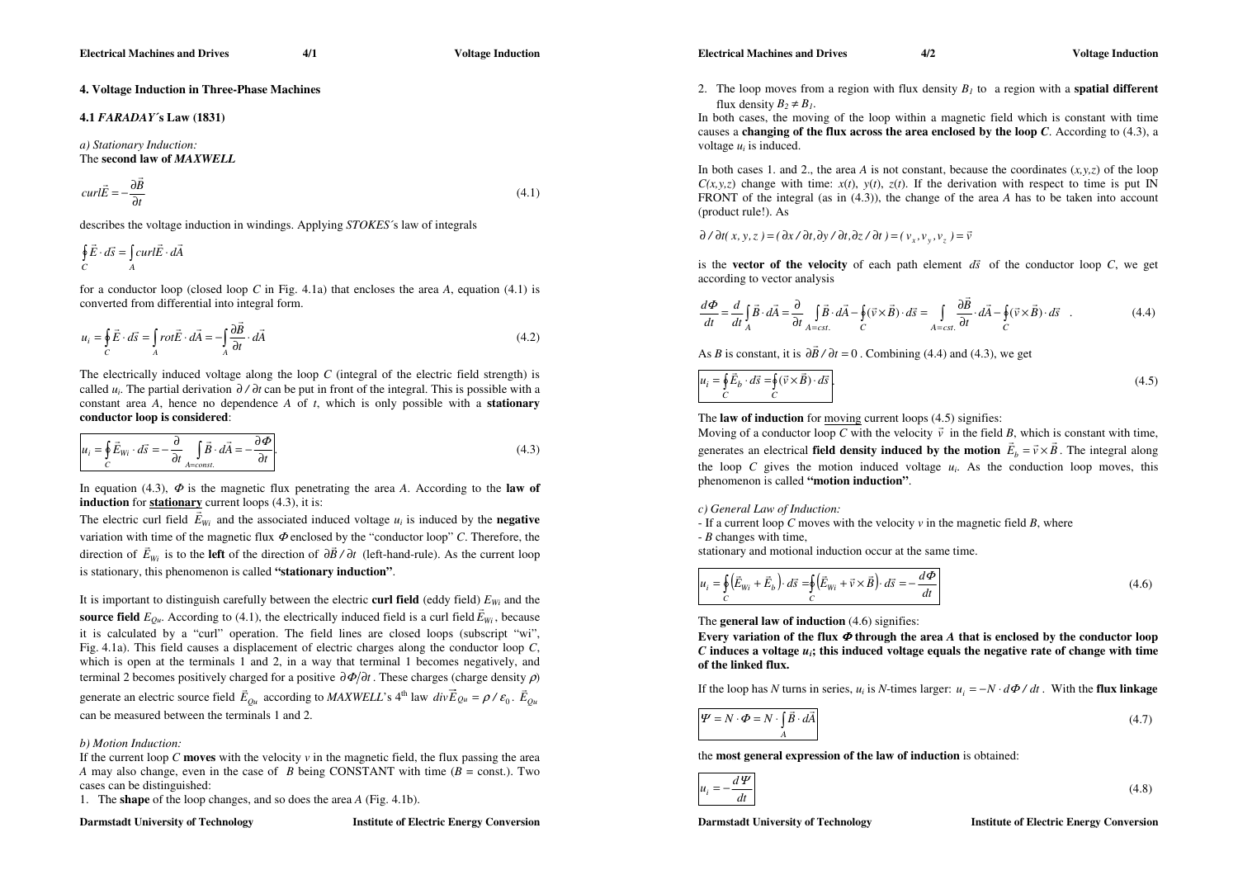**Electrical Machines and Drives 4/1 Voltage Induction** 

# **4. Voltage Induction in Three-Phase Machines**

# **4.1** *FARADAY***´s Law (1831)**

*a) Stationary Induction:*  The **second law of** *MAXWELL*

$$
curl \vec{E} = -\frac{\partial \vec{B}}{\partial t}
$$
\n(4.1)

describes the voltage induction in windings. Applying *STOKES*´s law of integrals

$$
\oint_C \vec{E} \cdot d\vec{s} = \int_A curl \vec{E} \cdot d\vec{A}
$$

for a conductor loop (closed loop *C* in Fig. 4.1a) that encloses the area *A*, equation (4.1) is converted from differential into integral form.

$$
u_i = \oint_C \vec{E} \cdot d\vec{s} = \int_A rot \vec{E} \cdot d\vec{A} = -\int_A \frac{\partial \vec{B}}{\partial t} \cdot d\vec{A}
$$
(4.2)

The electrically induced voltage along the loop *C* (integral of the electric field strength) is called*<sup>u</sup>i*. The partial derivation ∂ ∂*t/* can be put in front of the integral. This is possible with a constant area *A*, hence no dependence *A* of *t*, which is only possible with a **stationary conductor loop is considered**:

$$
u_i = \oint_C \vec{E}_{Wi} \cdot d\vec{s} = -\frac{\partial}{\partial t} \int_{A = const.} \vec{B} \cdot d\vec{A} = -\frac{\partial \Phi}{\partial t}.
$$
\n(4.3)

In equation (4.3),  $\Phi$  is the magnetic flux penetrating the area A. According to the **law of induction** for **stationary** current loops (4.3), it is:

The electric curl field  $\vec{E}_{W_i}$  and the associated induced voltage  $u_i$  is induced by the **negative** variation with time of the magnetic flux  $\Phi$  enclosed by the "conductor loop" C. Therefore, the direction of  $\vec{E}_{W_i}$  is to the **left** of the direction of  $\frac{\partial \vec{B}}{\partial t}$  (left-hand-rule). As the current loop is stationary, this phenomenon is called **"stationary induction"**.

It is important to distinguish carefully between the electric **curl field** (eddy field) *EWi* and the **source field**  $E_{Qu}$ . According to (4.1), the electrically induced field is a curl field  $\vec{E}_{Wi}$ , because it is calculated by a "curl" operation. The field lines are closed loops (subscript "wi", Fig. 4.1a). This field causes a displacement of electric charges along the conductor loop *C*, which is open at the terminals 1 and 2, in a way that terminal 1 becomes negatively, and terminal 2 becomes positively charged for a positive  $\frac{\partial \phi}{\partial t}$ . These charges (charge density  $\rho$ ) generate an electric source field  $\vec{E}_{Qu}$  according to *MAXWELL*'s 4<sup>th</sup> law  $div \vec{E}_{Qu} = \rho / \varepsilon_0$ .  $\vec{E}_{Qu}$ can be measured between the terminals 1 and 2.

## *b) Motion Induction:*

If the current loop C **moves** with the velocity  $\nu$  in the magnetic field, the flux passing the area *A* may also change, even in the case of *B* being CONSTANT with time ( *B* = const.). Two cases can be distinguished:

1. The **shape** of the loop changes, and so does the area *A* (Fig. 4.1b).

#### **Darmstadt University of Technology Muslims Institute of Electric Energy Conversion**

2. The loop moves from a region with flux density *B1* to a region with a **spatial different**  flux density  $B_2 \neq B_1$ .

In both cases, the moving of the loop within a magnetic field which is constant with time causes a **changing of the flux across the area enclosed by the loop**  *C*. According to (4.3), a voltage  $u_i$  is induced.

In both cases 1, and 2,, the area A is not constant, because the coordinates  $(x, y, z)$  of the loop  $C(x, y, z)$  change with time:  $x(t)$ ,  $y(t)$ ,  $z(t)$ . If the derivation with respect to time is put IN FRONT of the integral (as in (4.3)), the change of the area *A* has to be taken into account (product rule!). As

 $\partial/\partial t(x, y, z) = (\partial x/\partial t, \partial y/\partial t, \partial z/\partial t) = (v_x, v_y, v_z) = \vec{v}$ 

is the **vector of the velocity** of each path element  $d\vec{s}$  of the conductor loop C, we get according to vector analysis

$$
\frac{d\Phi}{dt} = \frac{d}{dt} \int_{A} \vec{B} \cdot d\vec{A} = \frac{\partial}{\partial t} \int_{A = cst.} \vec{B} \cdot d\vec{A} - \oint_{C} (\vec{v} \times \vec{B}) \cdot d\vec{s} = \int_{A = cst.} \frac{\partial \vec{B}}{\partial t} \cdot d\vec{A} - \oint_{C} (\vec{v} \times \vec{B}) \cdot d\vec{s}
$$
(4.4)

As *B* is constant, it is  $\partial \vec{B} / \partial t = 0$ . Combining (4.4) and (4.3), we get

$$
u_i = \oint_C \vec{E}_b \cdot d\vec{s} = \oint_C (\vec{v} \times \vec{B}) \cdot d\vec{s}.
$$
\n(4.5)

The **law of induction** for moving current loops (4.5) signifies:

Moving of a conductor loop C with the velocity  $\vec{v}$  in the field B, which is constant with time, generates an electrical **field density induced by the motion**  $\vec{E}_b = \vec{v} \times \vec{B}$ . The integral along the loop C gives the motion induced voltage  $u_i$ . As the conduction loop moves, this phenomenon is called **"motion induction"**.

# *c) General Law of Induction:*

- If a current loop *C* moves with the velocity *v* in the magnetic field *B*, where

- *B* changes with time,

stationary and motional induction occur at the same time.

$$
u_i = \oint_C (\vec{E}_{Wi} + \vec{E}_b) \cdot d\vec{s} = \oint_C (\vec{E}_{Wi} + \vec{v} \times \vec{B}) \cdot d\vec{s} = -\frac{d\Phi}{dt}
$$
(4.6)

The **general law of induction** (4.6) signifies:

**Every variation of the flux** Φ **through the area**  *A* **that is enclosed by the conductor loop**   $C$  **induces a voltage**  $u_i$ **; this induced voltage equals the negative rate of change with time of the linked flux.** 

If the loop has N turns in series,  $u_i$  is N-times larger:  $u_i = -N \cdot d\Phi/dt$ . With the **flux linkage** 

$$
\Psi = N \cdot \Phi = N \cdot \int_{A} \vec{B} \cdot d\vec{A}
$$
\n(4.7)

the **most general expression of the law of induction** is obtained:

$$
u_i = -\frac{d\Psi}{dt} \tag{4.8}
$$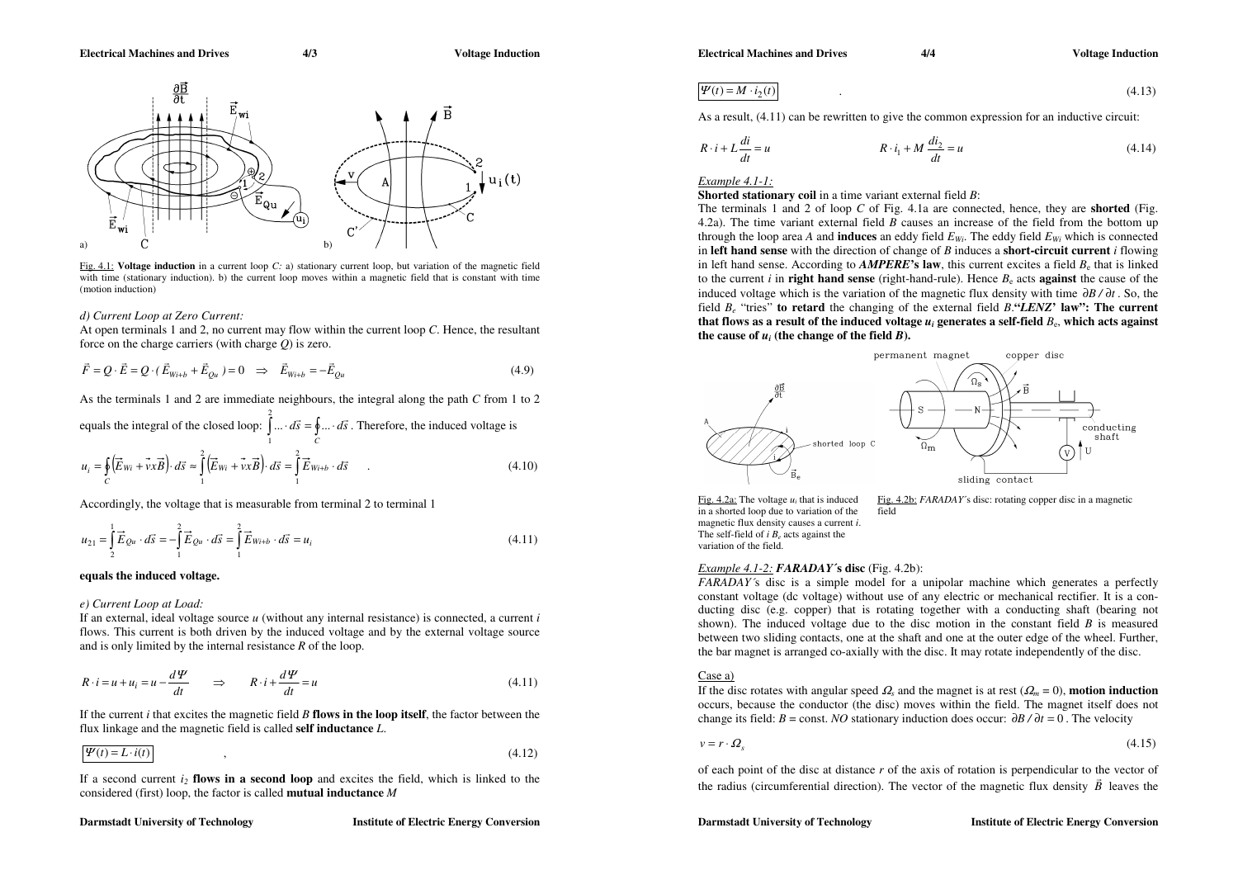

Fig. 4.1: **Voltage induction** in a current loop *C:* a) stationary current loop, but variation of the magnetic field with time (stationary induction). b) the current loop moves within a magnetic field that is constant with time (motion induction)

# *d) Current Loop at Zero Current:*

At open terminals 1 and 2, no current may flow within the current loop *C*. Hence, the resultant force on the charge carriers (with charge *Q*) is zero.

$$
\vec{F} = Q \cdot \vec{E} = Q \cdot (\vec{E}_{W i+b} + \vec{E}_{Qu}) = 0 \implies \vec{E}_{W i+b} = -\vec{E}_{Qu}
$$
\n(4.9)

As the terminals 1 and 2 are immediate neighbours, the integral along the path *C* from 1 to 2

equals the integral of the closed loop: 
$$
\int_{1}^{2} \dots \, d\vec{s} = \oint_{C} \dots \, d\vec{s}
$$
. Therefore, the induced voltage is

$$
u_i = \oint_C (\vec{E}_{Wi} + \vec{v} \times \vec{B}) \cdot d\vec{s} \approx \int_1^2 (\vec{E}_{Wi} + \vec{v} \times \vec{B}) \cdot d\vec{s} = \int_1^2 \vec{E}_{Wi+b} \cdot d\vec{s} \tag{4.10}
$$

Accordingly, the voltage that is measurable from terminal 2 to terminal 1

$$
u_{21} = \int_{2}^{1} \vec{E}_{Qu} \cdot d\vec{s} = -\int_{1}^{2} \vec{E}_{Qu} \cdot d\vec{s} = \int_{1}^{2} \vec{E}_{Wi+b} \cdot d\vec{s} = u_{i}
$$
 (4.11)

# **equals the induced voltage.**

# *e) Current Loop at Load:*

If an external, ideal voltage source *u* (without any internal resistance) is connected, a current *i* flows. This current is both driven by the induced voltage and by the external voltage source and is only limited by the internal resistance *R* of the loop.

$$
R \cdot i = u + u_i = u - \frac{d\Psi}{dt} \qquad \Rightarrow \qquad R \cdot i + \frac{d\Psi}{dt} = u \tag{4.11}
$$

If the current *i* that excites the magnetic field *B* **flows in the loop itself**, the factor between the flux linkage and the magnetic field is called **self inductance** *L*.

$$
\Psi(t) = L \cdot i(t) \tag{4.12}
$$

If a second current *i<sup>2</sup>* **flows in a second loop** and excites the field, which is linked to the considered (first) loop, the factor is called **mutual inductance** *M*

# **Darmstadt University of Technology Muslims Institute of Electric Energy Conversion**

**Electrical Machines and Drives 4/4 Voltage Induction Contract Article 2016** 

$$
\Psi(t) = M \cdot i_2(t) \tag{4.13}
$$

As a result, (4.11) can be rewritten to give the common expression for an inductive circuit:

$$
R \cdot i + L \frac{di}{dt} = u \qquad R \cdot i_1 + M \frac{di_2}{dt} = u \qquad (4.14)
$$

# *Example 4.1-1:*

**Shorted stationary coil** in a time variant external field *B*:

The terminals 1 and 2 of loop *C* of Fig. 4.1a are connected, hence, they are **shorted** (Fig. 4.2a). The time variant external field *B* causes an increase of the field from the bottom up through the loop area A and **induces** an eddy field  $E_{Wi}$ . The eddy field  $E_{Wi}$  which is connected in **left hand sense** with the direction of change of *B* induces a **short-circuit current** *i* flowing in left hand sense. According to *AMPERE*'s law, this current excites a field  $B_e$  that is linked to the current *i* in **right hand sense** (right-hand-rule). Hence  $B_e$  acts **against** the cause of the induced voltage which is the variation of the magnetic flux density with time  $\partial B / \partial t$ . So, the field *B<sup>e</sup>* "tries" **to retard** the changing of the external field *B*.**"***LENZ***' law": The current**  that flows as a result of the induced voltage  $u_i$  generates a self-field  $B_c$ , which acts against the cause of  $u_i$  (the change of the field  $B$ ).



in a shorted loop due to variation of the field magnetic flux density causes a current *i*. The self-field of *i B*<sub>*e*</sub> acts against the variation of the field.

Fig. 4.2a: The voltage  $u_i$  that is induced Fig. 4.2b: *FARADAY*'s disc: rotating copper disc in a magnetic

# *Example 4.1-2: FARADAY***´s disc** (Fig. 4.2b):

*FARADAY´*s disc is a simple model for a unipolar machine which generates a perfectly constant voltage (dc voltage) without use of any electric or mechanical rectifier. It is a conducting disc (e.g. copper) that is rotating together with a conducting shaft (bearing not shown). The induced voltage due to the disc motion in the constant field *B* is measured between two sliding contacts, one at the shaft and one at the outer edge of the wheel. Further, the bar magnet is arranged co-axially with the disc. It may rotate independently of the disc.

# Case a)

If the disc rotates with angular speed  $\Omega_s$  and the magnet is at rest  $(\Omega_m = 0)$ , **motion induction** occurs, because the conductor (the disc) moves within the field. The magnet itself does not change its field:  $B = \text{const.} \ NO$  stationary induction does occur:  $\partial B / \partial t = 0$ . The velocity

$$
v = r \cdot \Omega_s \tag{4.15}
$$

of each point of the disc at distance *r* of the axis of rotation is perpendicular to the vector of the radius (circumferential direction). The vector of the magnetic flux density  $\vec{B}$  leaves the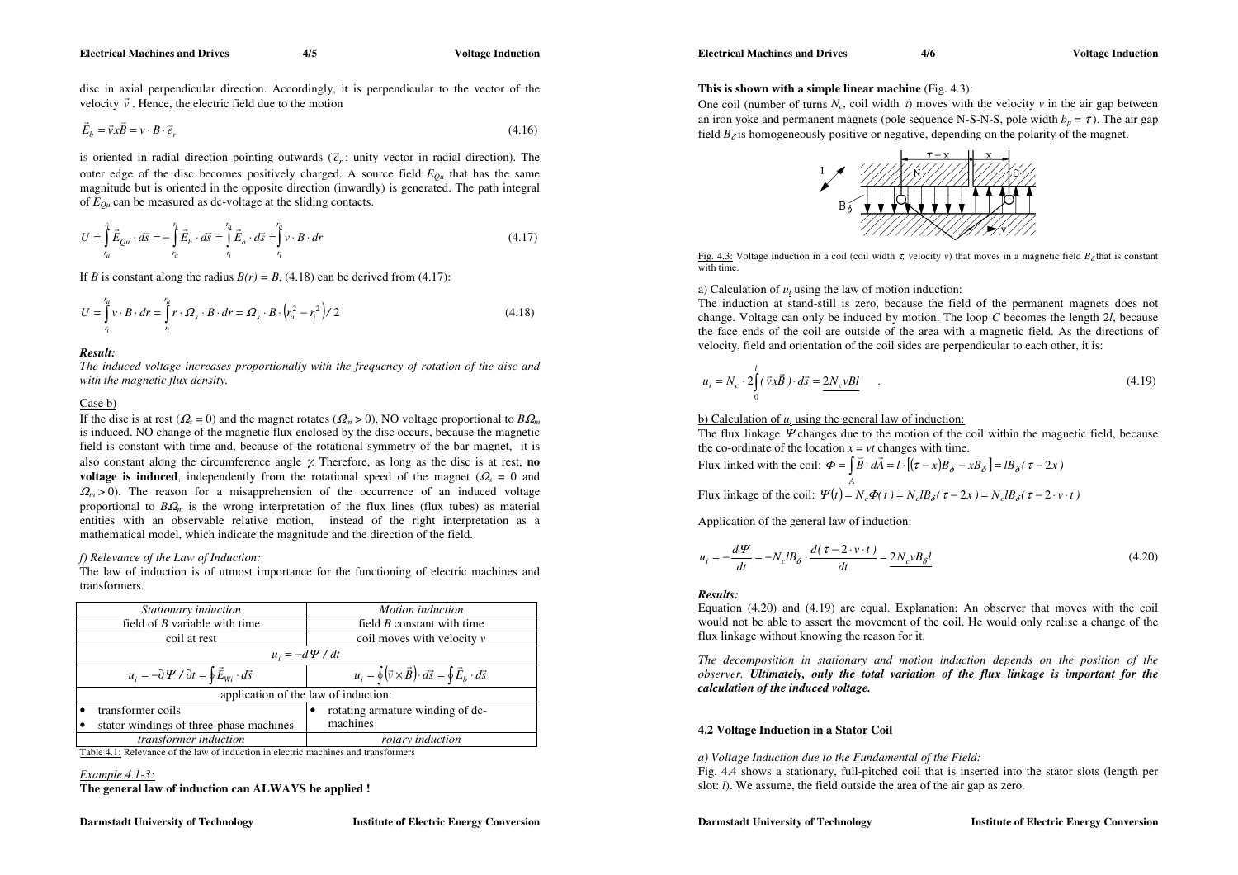disc in axial perpendicular direction. Accordingly, it is perpendicular to the vector of the velocity  $\vec{v}$ . Hence, the electric field due to the motion

$$
\vec{E}_b = \vec{v} \times \vec{B} = v \cdot B \cdot \vec{e}_r \tag{4.16}
$$

is oriented in radial direction pointing outwards  $(\vec{e}_r)$ : unity vector in radial direction). The outer edge of the disc becomes positively charged. A source field  $E_{Qu}$  that has the same magnitude but is oriented in the opposite direction (inwardly) is generated. The path integral of *EQu* can be measured as dc-voltage at the sliding contacts.

$$
U = \int_{r_a}^{r_f} \vec{E}_{Qu} \cdot d\vec{s} = -\int_{r_a}^{r_f} \vec{E}_b \cdot d\vec{s} = \int_{r_i}^{r_a} \vec{E}_b \cdot d\vec{s} = \int_{r_i}^{r_a} v \cdot B \cdot dr \qquad (4.17)
$$

If *B* is constant along the radius  $B(r) = B$ , (4.18) can be derived from (4.17):

$$
U = \int_{r_1}^{r_a} v \cdot B \cdot dr = \int_{r_1}^{r_a} r \cdot \Omega_s \cdot B \cdot dr = \Omega_s \cdot B \cdot \left(r_a^2 - r_i^2\right) / 2 \tag{4.18}
$$

*Result:* 

*The induced voltage increases proportionally with the frequency of rotation of the disc and with the magnetic flux density.*

#### Case b)

If the disc is at rest ( $\Omega_s = 0$ ) and the magnet rotates ( $\Omega_m > 0$ ), NO voltage proportional to  $B\Omega_m$ is induced. NO change of the magnetic flux enclosed by the disc occurs, because the magnetic field is constant with time and, because of the rotational symmetry of the bar magnet, it is also constant along the circumference angle γ. Therefore, as long as the disc is at rest, **no voltage is induced**, independently from the rotational speed of the magnet ( $\Omega_s = 0$  and  $\Omega_m$  > 0). The reason for a misapprehension of the occurrence of an induced voltage proportional to  $B\Omega_m$  is the wrong interpretation of the flux lines (flux tubes) as material entities with an observable relative motion, instead of the right interpretation as a mathematical model, which indicate the magnitude and the direction of the field.

## *f) Relevance of the Law of Induction:*

The law of induction is of utmost importance for the functioning of electric machines and transformers.

|  | Stationary induction                                                    | Motion induction                                                                       |  |  |
|--|-------------------------------------------------------------------------|----------------------------------------------------------------------------------------|--|--|
|  | field of $B$ variable with time                                         | field $B$ constant with time                                                           |  |  |
|  | coil moves with velocity $\nu$                                          |                                                                                        |  |  |
|  | $u_i = -d \Psi / dt$                                                    |                                                                                        |  |  |
|  | $u_i = -\partial \Psi / \partial t = \oint \vec{E}_{Wi} \cdot d\vec{s}$ | $u_i = \oint (\vec{v} \times \vec{B}) \cdot d\vec{s} = \oint \vec{E}_b \cdot d\vec{s}$ |  |  |
|  |                                                                         | application of the law of induction:                                                   |  |  |
|  | transformer coils                                                       | rotating armature winding of dc-                                                       |  |  |
|  | stator windings of three-phase machines                                 | machines                                                                               |  |  |
|  | transformer induction                                                   | rotary induction                                                                       |  |  |

Table 4.1: Relevance of the law of induction in electric machines and transformers

# *Example 4.1-3:*

**The general law of induction can ALWAYS be applied !** 

# **This is shown with a simple linear machine** (Fig. 4.3):

One coil (number of turns  $N_c$ , coil width  $\tau$ ) moves with the velocity  $\nu$  in the air gap between an iron yoke and permanent magnets (pole sequence N-S-N-S, pole width  $b_p = \tau$ ). The air gap field  $B_{\delta}$  is homogeneously positive or negative, depending on the polarity of the magnet.



Fig. 4.3: Voltage induction in a coil (coil width τ, velocity *v*) that moves in a magnetic field  $B_δ$  that is constant with time.

# a) Calculation of  $u_i$  using the law of motion induction:

The induction at stand-still is zero, because the field of the permanent magnets does not change. Voltage can only be induced by motion. The loop *C* becomes the length 2*l*, because the face ends of the coil are outside of the area with a magnetic field. As the directions of velocity, field and orientation of the coil sides are perpendicular to each other, it is:

$$
u_i = N_c \cdot 2 \int_0^l (\vec{v} \times \vec{B}) \cdot d\vec{s} = 2N_c vBl
$$
\n(4.19)

# b) Calculation of  $u_i$  using the general law of induction:

The flux linkage Ψ changes due to the motion of the coil within the magnetic field, because the co-ordinate of the location  $x = vt$  changes with time.

Flux linked with the coil:  $\Phi = \int \vec{B} \cdot d\vec{A} = l \cdot [(\tau - x)B_{\delta} - xB_{\delta}] = lB_{\delta}(\tau - 2x)$ *A*

Flux linkage of the coil:  $\Psi(t) = N_c \Phi(t) = N_c l B_\delta(\tau - 2x) = N_c l B_\delta(\tau - 2 \cdot v \cdot t)$ 

Application of the general law of induction:

$$
u_i = -\frac{d\Psi}{dt} = -N_c IB_\delta \cdot \frac{d(\tau - 2 \cdot v \cdot t)}{dt} = \frac{2N_c v B_\delta l}{dt}
$$
\n(4.20)

# *Results:*

Equation (4.20) and (4.19) are equal. Explanation: An observer that moves with the coil would not be able to assert the movement of the coil. He would only realise a change of the flux linkage without knowing the reason for it.

*The decomposition in stationary and motion induction depends on the position of the observer. Ultimately, only the total variation of the flux linkage is important for the calculation of the induced voltage.* 

# **4.2 Voltage Induction in a Stator Coil**

*a) Voltage Induction due to the Fundamental of the Field:* 

Fig. 4.4 shows a stationary, full-pitched coil that is inserted into the stator slots (length per slot: *l*). We assume, the field outside the area of the air gap as zero.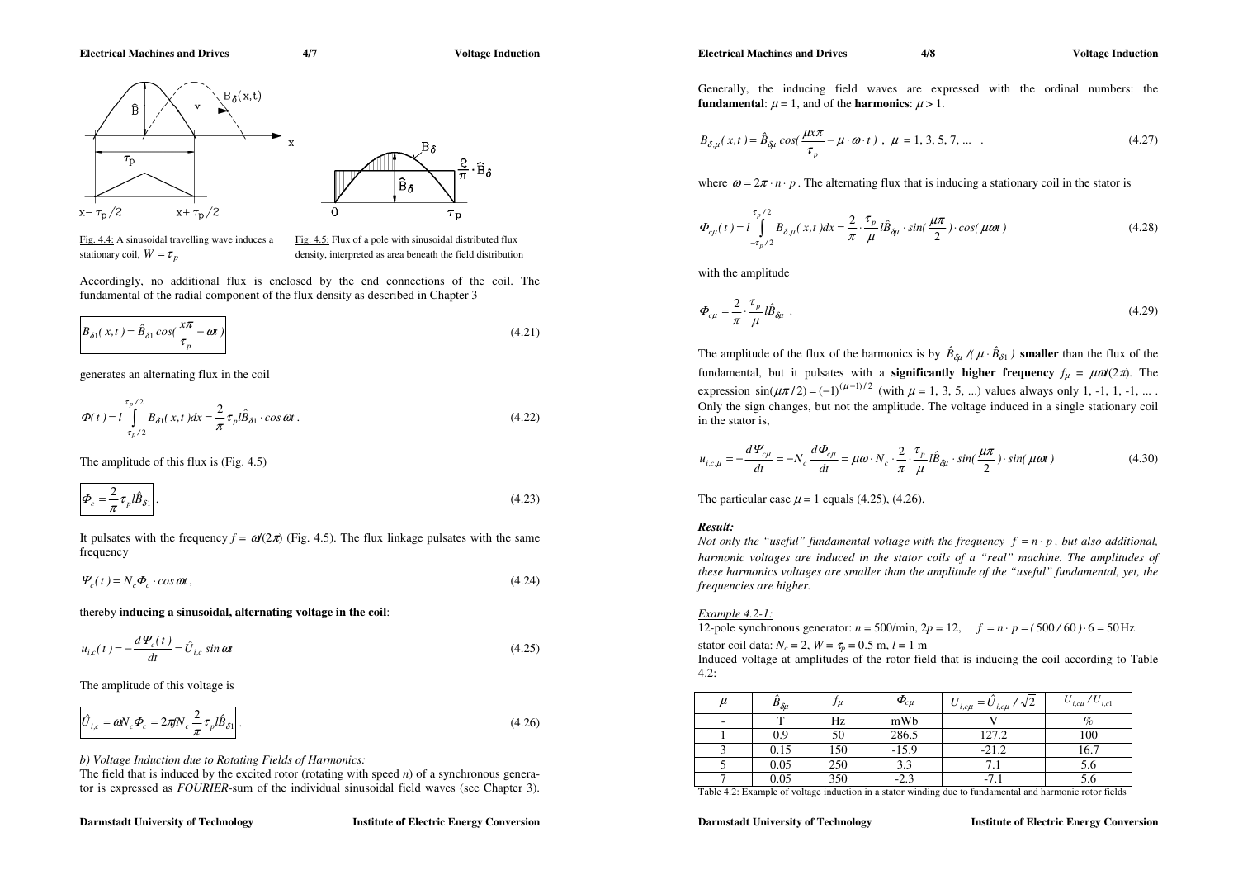$\frac{2}{\pi}$  $\cdot \widehat{B}_{\delta}$ 

 $\tau_{\rm p}$ 

 $B_{\delta}(x,t)$ Â  $B_{\delta}$  $\tau_{\rm p}$ Êδ  $x + \tau_{\text{D}}/2$  $\Omega$  $x - \tau_p/2$ 

Fig. 4.4: A sinusoidal travelling wave induces a Fig. 4.5: Flux of a pole with sinusoidal distributed flux stationary coil,  $W = \tau_n$ 

density, interpreted as area beneath the field distribution

Accordingly, no additional flux is enclosed by the end connections of the coil. The fundamental of the radial component of the flux density as described in Chapter 3

$$
B_{\delta 1}(x,t) = \hat{B}_{\delta 1} \cos(\frac{x\pi}{\tau_p} - \omega t)
$$
\n(4.21)

generates an alternating flux in the coil

$$
\Phi(t) = l \int_{-\tau_p/2}^{\tau_p/2} B_{\delta 1}(x, t) dx = \frac{2}{\pi} \tau_p l \hat{B}_{\delta 1} \cdot \cos \omega t.
$$
\n(4.22)

The amplitude of this flux is (Fig. 4.5)

$$
\left| \Phi_c = \frac{2}{\pi} \tau_p l \hat{B}_{\delta 1} \right| \,. \tag{4.23}
$$

It pulsates with the frequency  $f = \omega(2\pi)$  (Fig. 4.5). The flux linkage pulsates with the same frequency

 $\Psi_c(t) = N_c \Phi_c \cdot \cos \omega t$ , (4.24)

thereby **inducing a sinusoidal, alternating voltage in the coil**:

$$
u_{i,c}(t) = -\frac{d\Psi_c(t)}{dt} = \hat{U}_{i,c} \sin \omega t
$$
\n(4.25)

The amplitude of this voltage is

$$
\hat{U}_{i,c} = \omega V_c \Phi_c = 2\pi f N_c \frac{2}{\pi} \tau_p l \hat{B}_{\delta 1}.
$$
\n(4.26)

*b) Voltage Induction due to Rotating Fields of Harmonics:* 

The field that is induced by the excited rotor (rotating with speed *n*) of a synchronous generator is expressed as *FOURIER*-sum of the individual sinusoidal field waves (see Chapter 3).

#### **Darmstadt University of Technology Music Energy Conversion Institute of Electric Energy Conversion**

Generally, the inducing field waves are expressed with the ordinal numbers: the **fundamental:**  $\mu = 1$ , and of the **harmonics**:  $\mu > 1$ .

$$
B_{\delta,\mu}(x,t) = \hat{B}_{\delta\mu} \cos(\frac{\mu x \pi}{\tau_p} - \mu \cdot \omega \cdot t), \ \mu = 1, 3, 5, 7, \dots \tag{4.27}
$$

where  $\omega = 2\pi \cdot n \cdot p$ . The alternating flux that is inducing a stationary coil in the stator is

$$
\Phi_{c\mu}(t) = l \int_{-\tau_p/2}^{\tau_p/2} B_{\delta,\mu}(x,t) dx = \frac{2}{\pi} \cdot \frac{\tau_p}{\mu} l \hat{B}_{\delta\mu} \cdot \sin(\frac{\mu\pi}{2}) \cdot \cos(\mu\omega t)
$$
\n(4.28)

with the amplitude

$$
\Phi_{c\mu} = \frac{2}{\pi} \cdot \frac{\tau_p}{\mu} l \hat{B}_{\delta\mu} \tag{4.29}
$$

The amplitude of the flux of the harmonics is by  $\hat{B}_{\delta\mu}$  /( $\mu \cdot \hat{B}_{\delta 1}$ ) **smaller** than the flux of the fundamental, but it pulsates with a **significantly higher frequency**  $f_{\mu} = \mu \omega(2\pi)$ . The expression  $\sin(\mu \pi/2) = (-1)^{(\mu-1)/2}$  (with  $\mu = 1, 3, 5, ...$ ) values always only 1, -1, 1, -1, ... Only the sign changes, but not the amplitude. The voltage induced in a single stationary coil in the stator is,

$$
u_{i,c,\mu} = -\frac{d\Psi_{c\mu}}{dt} = -N_c \frac{d\Phi_{c\mu}}{dt} = \mu\omega \cdot N_c \cdot \frac{2}{\pi} \cdot \frac{\tau_p}{\mu} l\hat{B}_{\delta\mu} \cdot \sin(\frac{\mu\pi}{2}) \cdot \sin(\mu\omega t)
$$
(4.30)

The particular case  $\mu$  = 1 equals (4.25), (4.26).

# *Result:*

*Not only the "useful" fundamental voltage with the frequency*  $f = n \cdot p$ , *but also additional, harmonic voltages are induced in the stator coils of a "real" machine. The amplitudes of these harmonics voltages are smaller than the amplitude of the "useful" fundamental, yet, the frequencies are higher.*

*Example 4.2-1:* 

12-pole synchronous generator:  $n = 500/\text{min}$ ,  $2p = 12$ ,  $f = n \cdot p = (500/60) \cdot 6 = 50 \text{ Hz}$ stator coil data:  $N_c = 2$ ,  $W = \tau_p = 0.5$  m,  $l = 1$  m

Induced voltage at amplitudes of the rotor field that is inducing the coil according to Table 4.2:

| $\mu$                    | $\bm{\mathit{B}}_{\delta\mu}$ | $J\mu$ | $\boldsymbol{\varPhi}_{\!c\mu}$ | $=$ $U_{i, c\mu}$ / $\sqrt{2}$<br>$\cup_{i,c\mu}$ | $U_{i,c\mu}/U_{i,c1}$ |
|--------------------------|-------------------------------|--------|---------------------------------|---------------------------------------------------|-----------------------|
| $\overline{\phantom{a}}$ |                               | Hz     | mWb                             |                                                   | $\%$                  |
|                          | 0.9                           | 50     | 286.5                           | 127.2                                             | 100                   |
|                          | 0.15                          | 150    | $-15.9$                         | $-21.2$                                           | 16.7                  |
|                          | 0.05                          | 250    | 3.3                             |                                                   | 5.0                   |
|                          | 0.05                          | 350    | $-2.3$                          | $-7.1$                                            | D.O                   |

Table 4.2: Example of voltage induction in a stator winding due to fundamental and harmonic rotor fields

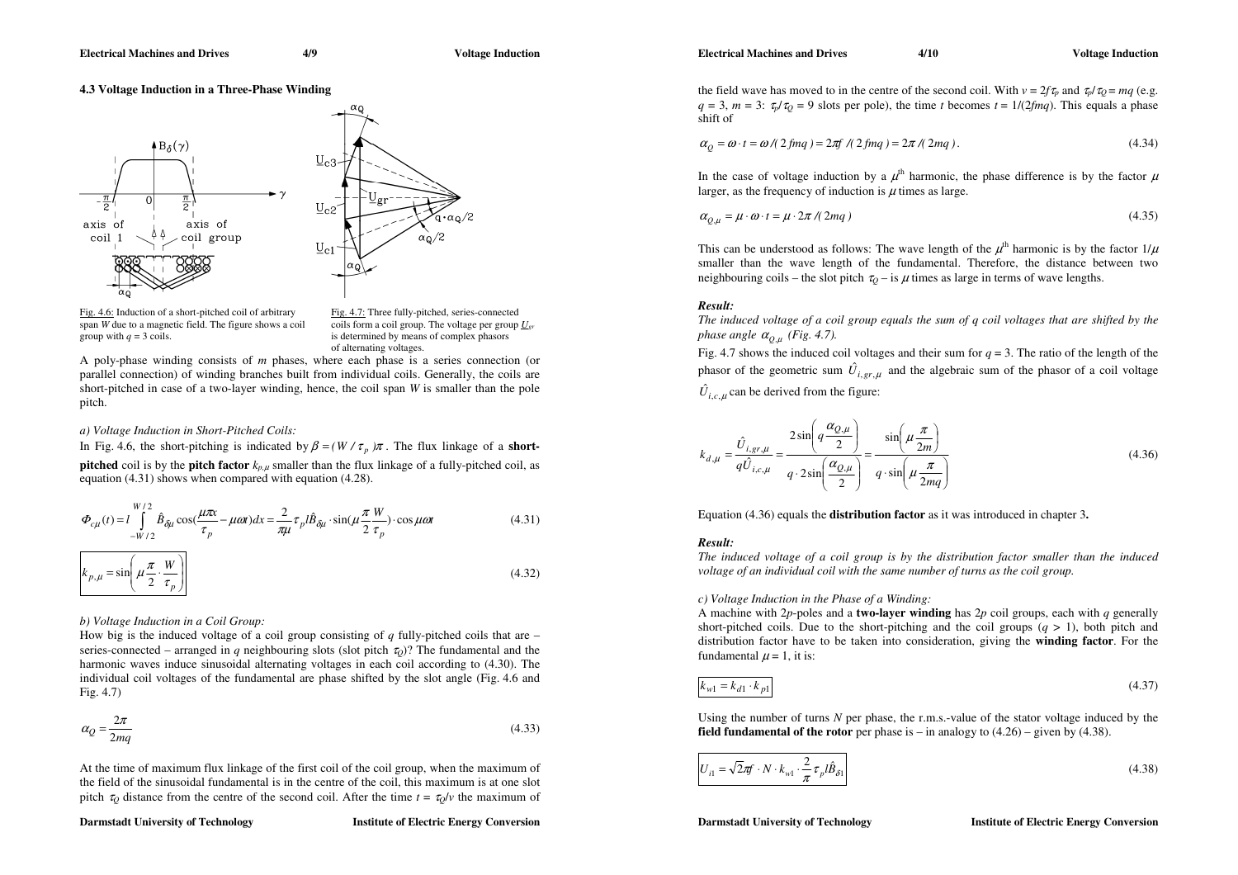# **4.3 Voltage Induction in a Three-Phase Winding**



Fig. 4.6: Induction of a short-pitched coil of arbitrary Fig. 4.7: Three fully-pitched, series-connected span *W* due to a magnetic field. The figure shows a coil group with  $q = 3$  coils. is determined by means of complex phasors

coils form a coil group. The voltage per group  $U_{\text{er}}$ of alternating voltages.

A poly-phase winding consists of *<sup>m</sup>* phases, where each phase is a series connection (or parallel connection) of winding branches built from individual coils. Generally, the coils are short-pitched in case of a two-layer winding, hence, the coil span *W* is smaller than the pole pitch.

# *a) Voltage Induction in Short-Pitched Coils:*

In Fig. 4.6, the short-pitching is indicated by  $\beta = (W / \tau_p) \pi$ . The flux linkage of a **shortpitched** coil is by the **pitch factor**  $k_{p,\mu}$  smaller than the flux linkage of a fully-pitched coil, as equation (4.31) shows when compared with equation (4.28).

$$
\Phi_{c\mu}(t) = l \int_{-W/2}^{W/2} \hat{B}_{\delta\mu} \cos(\frac{\mu\pi x}{\tau_p} - \mu\omega t) dx = \frac{2}{\pi\mu} \tau_p l \hat{B}_{\delta\mu} \cdot \sin(\mu \frac{\pi W}{2 \tau_p}) \cdot \cos\mu\omega t
$$
(4.31)

$$
k_{p,\mu} = \sin\left(\mu \frac{\pi}{2} \cdot \frac{W}{\tau_p}\right)
$$
\n(4.32)

*b) Voltage Induction in a Coil Group:*

How big is the induced voltage of a coil group consisting of *q* fully-pitched coils that are – series-connected – arranged in *q* neighbouring slots (slot pitch  $\tau_{Q}$ )? The fundamental and the harmonic waves induce sinusoidal alternating voltages in each coil according to (4.30). The individual coil voltages of the fundamental are phase shifted by the slot angle (Fig. 4.6 and Fig. 4.7)

$$
\alpha_Q = \frac{2\pi}{2mq} \tag{4.33}
$$

At the time of maximum flux linkage of the first coil of the coil group, when the maximum of the field of the sinusoidal fundamental is in the centre of the coil, this maximum is at one slot pitch  $\tau_Q$  distance from the centre of the second coil. After the time  $t = \tau_Q/v$  the maximum of **Electrical Machines and Drives 4/10 4/10 Voltage Induction Constraints and Drives 4/10** 

the field wave has moved to in the centre of the second coil. With  $v = 2f\tau_p$  and  $\tau_p/\tau_Q = mq$  (e.g.  $q = 3$ ,  $m = 3$ :  $\tau_p/\tau_q = 9$  slots per pole), the time *t* becomes  $t = 1/(2fmq)$ . This equals a phase shift of

$$
\alpha_Q = \omega \cdot t = \omega / (2 \text{ fmq}) = 2\pi f / (2 \text{ fmq}) = 2\pi / (2 \text{ mg}). \tag{4.34}
$$

In the case of voltage induction by a  $\mu^{\text{th}}$  harmonic, the phase difference is by the factor  $\mu$ larger, as the frequency of induction is  $\mu$  times as large.

$$
\alpha_{Q,\mu} = \mu \cdot \omega \cdot t = \mu \cdot 2\pi / (2mq) \tag{4.35}
$$

This can be understood as follows: The wave length of the  $\mu^{th}$  harmonic is by the factor  $1/\mu$ smaller than the wave length of the fundamental. Therefore, the distance between two neighbouring coils – the slot pitch  $\tau_Q$  – is  $\mu$  times as large in terms of wave lengths.

# *Result:*

*The induced voltage of a coil group equals the sum of q coil voltages that are shifted by the phase angle*  $\alpha_{Q,\mu}$  (Fig. 4.7).

Fig. 4.7 shows the induced coil voltages and their sum for  $q = 3$ . The ratio of the length of the phasor of the geometric sum  $\hat{U}_{i,gr,\mu}$  and the algebraic sum of the phasor of a coil voltage  $\hat{U}_{i,c,\mu}$  can be derived from the figure:

$$
k_{d,\mu} = \frac{\hat{U}_{i,gr,\mu}}{q\hat{U}_{i,c,\mu}} = \frac{2\sin\left(q\frac{\alpha_{Q,\mu}}{2}\right)}{q \cdot 2\sin\left(\frac{\alpha_{Q,\mu}}{2}\right)} = \frac{\sin\left(\mu\frac{\pi}{2m}\right)}{q \cdot \sin\left(\mu\frac{\pi}{2mq}\right)}
$$
(4.36)

Equation (4.36) equals the **distribution factor** as it was introduced in chapter 3**.**

# *Result:*

*The induced voltage of a coil group is by the distribution factor smaller than the induced voltage of an individual coil with the same number of turns as the coil group.* 

# *c) Voltage Induction in the Phase of a Winding:*

A machine with 2*p*-poles and a **two-layer winding** has 2*p* coil groups, each with *q* generally short-pitched coils. Due to the short-pitching and the coil groups  $(q > 1)$ , both pitch and distribution factor have to be taken into consideration, giving the **winding factor**. For the fundamental  $\mu = 1$ , it is:

$$
k_{wl} = k_{d1} \cdot k_{p1} \tag{4.37}
$$

Using the number of turns *N* per phase, the r.m.s.-value of the stator voltage induced by the **field fundamental of the rotor** per phase is – in analogy to  $(4.26)$  – given by  $(4.38)$ .

$$
U_{i1} = \sqrt{2}\pi f \cdot N \cdot k_{w1} \cdot \frac{2}{\pi} \tau_p l \hat{B}_{\delta 1}
$$
\n(4.38)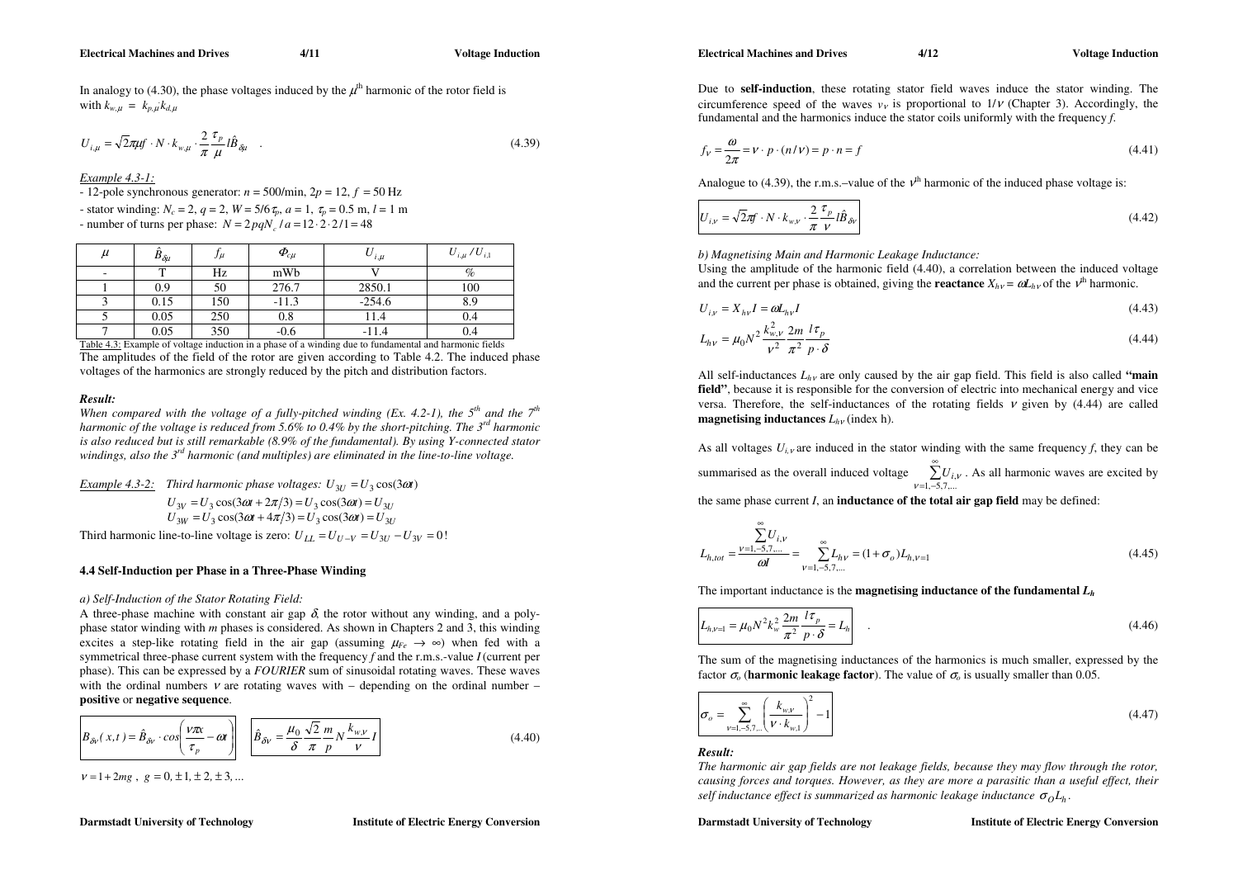In analogy to (4.30), the phase voltages induced by the  $\mu^{th}$  harmonic of the rotor field is with  $k_{w,\mu} = k_{p,\mu} k_{d,\mu}$ 

$$
U_{i,\mu} = \sqrt{2\pi\mu} \mathbf{f} \cdot N \cdot k_{w,\mu} \cdot \frac{2}{\pi} \frac{\tau_p}{\mu} l \hat{B}_{\delta\mu} \quad . \tag{4.39}
$$

*Example 4.3-1:* 

 $- 12$ -pole synchronous generator:  $n = 500/min$ ,  $2p = 12$ ,  $f = 50 Hz$ 

- stator winding:  $N_c = 2$ ,  $q = 2$ ,  $W = 5/6 \tau_p$ ,  $a = 1$ ,  $\tau_p = 0.5$  m,  $l = 1$  m

- number of turns per phase:  $N = 2 p q N_c / a = 12 \cdot 2 \cdot 2 / 1 = 48$ 

| $\mu$ | $\mathbf{D}_{\delta\mu}$ | $J\mu$ | $\boldsymbol{\varPhi}_{\!c\mu}$ | ပ<br>$i, \mu$ | $U_{i,\mu}$ / $U_{i,1}$ |
|-------|--------------------------|--------|---------------------------------|---------------|-------------------------|
|       |                          | Hz     | mWb                             |               | $\%$                    |
|       | 0.9                      | 50     | 276.7                           | 2850.1        | 100                     |
|       | 0.15                     | 150    | $-11.3$                         | $-254.6$      | 8.9                     |
|       | 0.05                     | 250    | $_{0.8}$                        | 11.4          | 0.4                     |
|       | 0.05                     | 350    | $-0.6$                          | $-11.4$       | 0.4                     |

Table 4.3: Example of voltage induction in a phase of a winding due to fundamental and harmonic fields The amplitudes of the field of the rotor are given according to Table 4.2. The induced phase voltages of the harmonics are strongly reduced by the pitch and distribution factors.

# *Result:*

*When compared with the voltage of a fully-pitched winding (Ex. 4.2-1), the*  $5<sup>th</sup>$  *and the*  $7<sup>th</sup>$ *harmonic of the voltage is reduced from 5.6% to 0.4% by the short-pitching. The 3rd harmonic is also reduced but is still remarkable (8.9% of the fundamental). By using Y-connected stator windings, also the 3rd harmonic (and multiples) are eliminated in the line-to-line voltage.* 

*Example 4.3-2:* Third harmonic phase voltages:  $U_{3U} = U_3 \cos(3\omega t)$ 

 $U_{3W} = U_3 \cos(3\omega t + 4\pi/3) = U_3 \cos(3\omega t) = U_{3U}$  $U_{3V} = U_3 \cos(3\omega t + 2\pi/3) = U_3 \cos(3\omega t) = U_{3U}$ Third harmonic line-to-line voltage is zero:  $U_{II} = U_{II-V} = U_{3U} - U_{3V} = 0$ !

# **4.4 Self-Induction per Phase in a Three-Phase Winding**

# *a) Self-Induction of the Stator Rotating Field:*

A three-phase machine with constant air gap  $\delta$ , the rotor without any winding, and a polyphase stator winding with *m* phases is considered. As shown in Chapters 2 and 3, this winding excites a step-like rotating field in the air gap (assuming  $\mu_{Fe} \rightarrow \infty$ ) when fed with a symmetrical three-phase current system with the frequency *f* and the r.m.s.-value *I* (current per phase). This can be expressed by a *FOURIER* sum of sinusoidal rotating waves. These waves with the ordinal numbers  $\nu$  are rotating waves with – depending on the ordinal number – **positive** or **negative sequence**.

$$
\hat{B}_{\delta v}(x,t) = \hat{B}_{\delta v} \cdot \cos\left(\frac{v\pi x}{\tau_p} - \omega t\right) \quad \hat{B}_{\delta v} = \frac{\mu_0}{\delta} \frac{\sqrt{2}}{\pi} \frac{m}{p} N \frac{k_{w,v}}{v} I
$$

 $v = 1 + 2mg$ ,  $g = 0, \pm 1, \pm 2, \pm 3, ...$ 

**Darmstadt University of Technology Music Energy Conversion Institute of Electric Energy Conversion** 

 $(4.40)$ 

**Electrical Machines and Drives 4/12 4/12 Voltage Induction Constraints and Drives 4/12** 

Due to **self-induction**, these rotating stator field waves induce the stator winding. The circumference speed of the waves  $v<sub>v</sub>$  is proportional to  $1/v$  (Chapter 3). Accordingly, the fundamental and the harmonics induce the stator coils uniformly with the frequency *f*.

$$
f_V = \frac{\omega}{2\pi} = V \cdot p \cdot (n/V) = p \cdot n = f \tag{4.41}
$$

Analogue to (4.39), the r.m.s.–value of the  $v<sup>th</sup>$  harmonic of the induced phase voltage is:

$$
U_{i,v} = \sqrt{2\pi} \mathbf{f} \cdot N \cdot k_{w,v} \cdot \frac{2}{\pi} \frac{\tau_p}{v} l \hat{B}_{\delta v}
$$
 (4.42)

*b) Magnetising Main and Harmonic Leakage Inductance:* 

Using the amplitude of the harmonic field (4.40), a correlation between the induced voltage and the current per phase is obtained, giving the **reactance**  $X_{hv} = \omega L_{hv}$  of the  $v^{th}$  harmonic.

$$
U_{i,v} = X_{hv}I = \omega L_{hv}I
$$
\n
$$
(4.43)
$$

$$
L_{hv} = \mu_0 N^2 \frac{k_{w,v}^2}{v^2} \frac{2m}{\pi^2} \frac{l \tau_p}{p \cdot \delta}
$$
 (4.44)

All self-inductances *Lh*ν are only caused by the air gap field. This field is also called **"main field"**, because it is responsible for the conversion of electric into mechanical energy and vice versa. Therefore, the self-inductances of the rotating fields  $\nu$  given by (4.44) are called **magnetising inductances** *Lh*ν (index h).

As all voltages  $U_{i,v}$  are induced in the stator winding with the same frequency f, they can be summarised as the overall induced voltage  $\sum_{n=1}^{\infty}$  $\sum_{\nu=1,-5,7,...} U_{i,\nu}$ . As all harmonic waves are excited by

the same phase current *I*, an **inductance of the total air gap field** may be defined:

$$
L_{h,tot} = \frac{\sum_{l=1, -5, 7, ...}^{\infty} U_{i,v}}{\omega l} = \sum_{v=1, -5, 7, ...}^{\infty} L_{hv} = (1 + \sigma_o) L_{h,v=1}
$$
(4.45)

The important inductance is the **magnetising inductance of the fundamental**  *L<sup>h</sup>*

$$
L_{h,v=1} = \mu_0 N^2 k_w^2 \frac{2m}{\pi^2} \frac{l \tau_p}{p \cdot \delta} = L_h
$$
 (4.46)

The sum of the magnetising inductances of the harmonics is much smaller, expressed by the factor  $\sigma$ <sub>o</sub> (**harmonic leakage factor**). The value of  $\sigma$ <sub>o</sub> is usually smaller than 0.05.

$$
\sigma_o = \sum_{\nu=1,-5,7,\dots}^{\infty} \left(\frac{k_{w,\nu}}{\nu \cdot k_{w,1}}\right)^2 - 1
$$
\n(4.47)

# *Result:*

*The harmonic air gap fields are not leakage fields, because they may flow through the rotor, causing forces and torques. However, as they are more a parasitic than a useful effect, their self inductance effect is summarized as harmonic leakage inductance*  $\sigma_{0}L_{h}$ *.*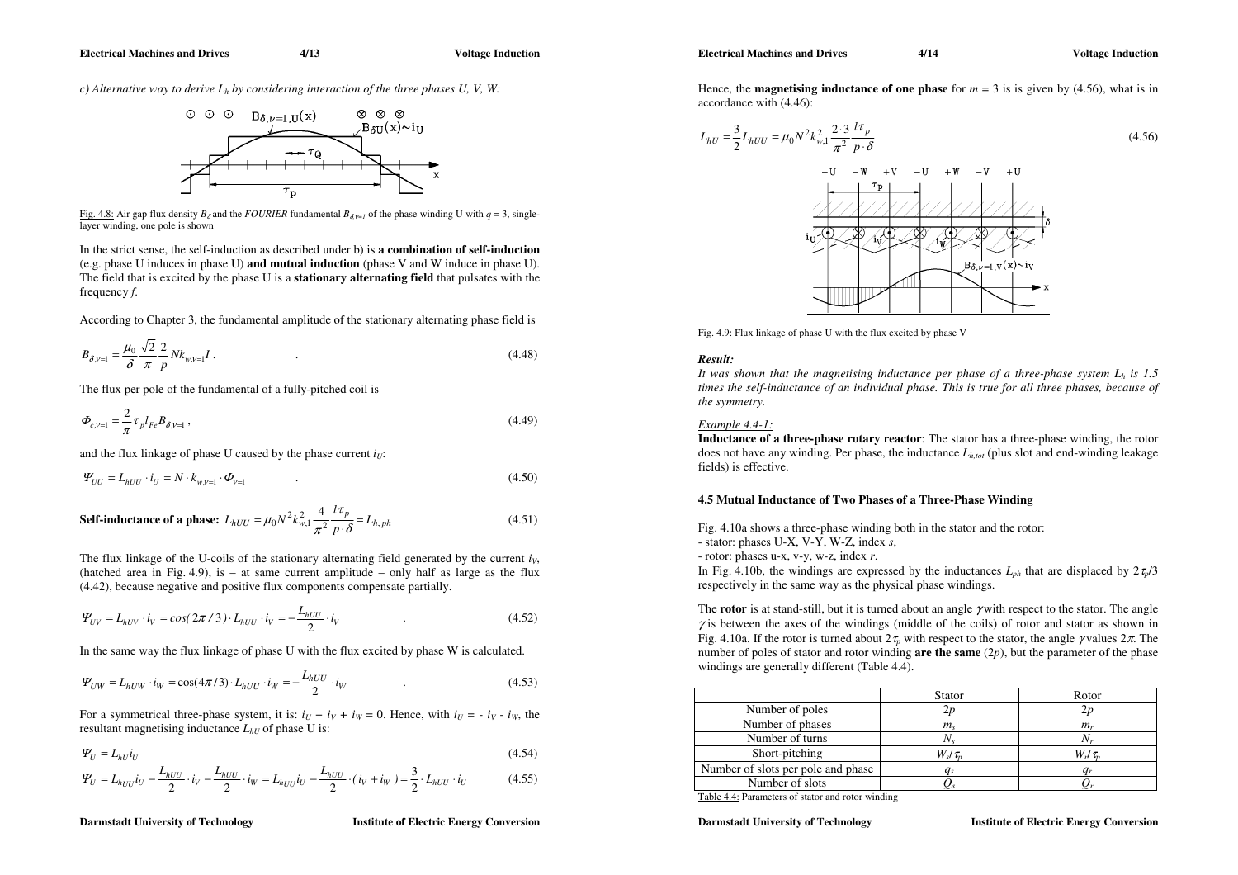*c) Alternative way to derive Lh by considering interaction of the three phases U, V, W:* 



Fig. 4.8: Air gap flux density  $B_\delta$  and the *FOURIER* fundamental  $B_{\delta v=1}$  of the phase winding U with  $q = 3$ , singlelayer winding, one pole is shown

In the strict sense, the self-induction as described under b) is **a combination of self-induction**  (e.g. phase U induces in phase U) **and mutual induction** (phase V and W induce in phase U). The field that is excited by the phase U is a **stationary alternating field** that pulsates with the frequency *f*.

According to Chapter 3, the fundamental amplitude of the stationary alternating phase field is

$$
B_{\delta,\nu=1} = \frac{\mu_0}{\delta} \frac{\sqrt{2}}{\pi} \frac{2}{p} N k_{\nu,\nu=1} I \,. \tag{4.48}
$$

The flux per pole of the fundamental of a fully-pitched coil is

$$
\Phi_{c,\nu=1} = \frac{2}{\pi} \tau_p l_{Fe} B_{\delta,\nu=1} \,, \tag{4.49}
$$

and the flux linkage of phase U caused by the phase current  $i_U$ :

$$
\Psi_{UU} = L_{hUU} \cdot i_U = N \cdot k_{w,v=1} \cdot \Phi_{v=1} \tag{4.50}
$$

**Self-inductance of a phase:** 
$$
L_{hUU} = \mu_0 N^2 k_{w,1}^2 \frac{4}{\pi^2} \frac{l \tau_p}{p \cdot \delta} = L_{h,ph}
$$
 (4.51)

The flux linkage of the U-coils of the stationary alternating field generated by the current  $i<sub>V</sub>$ , (hatched area in Fig. 4.9), is – at same current amplitude – only half as large as the flux (4.42), because negative and positive flux components compensate partially.

$$
\Psi_{UV} = L_{hUV} \cdot i_V = \cos(2\pi/3) \cdot L_{hUU} \cdot i_V = -\frac{L_{hUU}}{2} \cdot i_V \tag{4.52}
$$

In the same way the flux linkage of phase U with the flux excited by phase W is calculated.

$$
\Psi_{UW} = L_{hUW} \cdot i_W = \cos(4\pi/3) \cdot L_{hUU} \cdot i_W = -\frac{L_{hUU}}{2} \cdot i_W \tag{4.53}
$$

For a symmetrical three-phase system, it is:  $i_U + i_V + i_W = 0$ . Hence, with  $i_U = -i_V - i_W$ , the resultant magnetising inductance  $L_{hU}$  of phase U is:

$$
\Psi_U = L_{hU} i_U \tag{4.54}
$$

$$
\Psi_{U} = L_{h_{UU}} i_U - \frac{L_{hUU}}{2} \cdot i_V - \frac{L_{hUU}}{2} \cdot i_W = L_{h_{UU}} i_U - \frac{L_{hUU}}{2} \cdot (i_V + i_W) = \frac{3}{2} \cdot L_{hUU} \cdot i_U
$$
\n(4.55)

#### **Darmstadt University of Technology Music Energy Conversion Institute of Electric Energy Conversion**

**Electrical Machines and Drives 4/14 12 Voltage Induction Contract Induction Algebra 10 Voltage Induction** 

Hence, the **magnetising inductance of one phase** for  $m = 3$  is is given by (4.56), what is in accordance with (4.46):

$$
L_{hU} = \frac{3}{2} L_{hUU} = \mu_0 N^2 k_{w,1}^2 \frac{2 \cdot 3}{\pi^2} \frac{l \tau_p}{p \cdot \delta} \tag{4.56}
$$



Fig. 4.9: Flux linkage of phase U with the flux excited by phase V

# *Result:*

It was shown that the magnetising inductance per phase of a three-phase system  $L_h$  is 1.5 *times the self-inductance of an individual phase. This is true for all three phases, because of the symmetry.* 

#### *Example 4.4-1:*

**Inductance of a three-phase rotary reactor**: The stator has a three-phase winding, the rotor does not have any winding. Per phase, the inductance *Lh,tot* (plus slot and end-winding leakage fields) is effective.

#### **4.5 Mutual Inductance of Two Phases of a Three-Phase Winding**

Fig. 4.10a shows a three-phase winding both in the stator and the rotor: - stator: phases U-X, V-Y, W-Z, index *<sup>s</sup>*,

- rotor: phases u-x, v-y, w-z, index *<sup>r</sup>*.

In Fig. 4.10b, the windings are expressed by the inductances  $L_{ph}$  that are displaced by  $2\tau_p/3$ respectively in the same way as the physical phase windings.

The **rotor** is at stand-still, but it is turned about an angle γ with respect to the stator. The angle  $\gamma$  is between the axes of the windings (middle of the coils) of rotor and stator as shown in Fig. 4.10a. If the rotor is turned about  $2\tau_p$  with respect to the stator, the angle  $\gamma$  values  $2\pi$ . The number of poles of stator and rotor winding **are the same** (2*p*), but the parameter of the phase windings are generally different (Table 4.4).

|                                    | Stator       | Rotor                                  |
|------------------------------------|--------------|----------------------------------------|
| Number of poles                    |              |                                        |
| Number of phases                   | $m_{\rm s}$  | $m_r$                                  |
| Number of turns                    | Ν.           |                                        |
| Short-pitching                     | $W_s/\tau_n$ | $W$ ./ $\tau_{\scriptscriptstyle\! M}$ |
| Number of slots per pole and phase |              |                                        |
| Number of slots                    |              |                                        |

Table 4.4: Parameters of stator and rotor winding